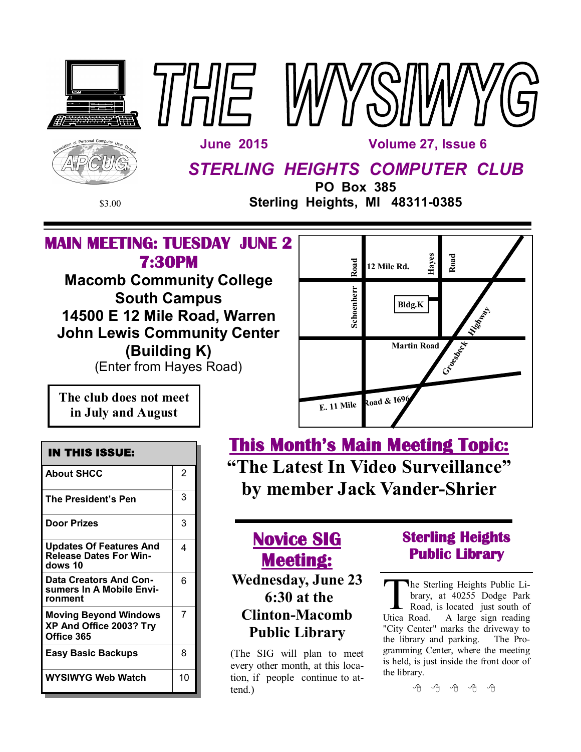





*STERLING HEIGHTS COMPUTER CLUB*

**PO Box 385** \$3.00 **Sterling Heights, MI 48311-0385**

## **MAIN MEETING: TUESDAY JUNE 2 7:30PM**

**Macomb Community College South Campus 14500 E 12 Mile Road, Warren John Lewis Community Center (Building K)** (Enter from Hayes Road)



**The club does not meet in July and August**

| <b>About SHCC</b>                                                     | 2  |
|-----------------------------------------------------------------------|----|
| The President's Pen                                                   | 3  |
| Door Prizes                                                           | 3  |
| Updates Of Features And<br><b>Release Dates For Win-</b><br>dows 10   | 4  |
| <b>Data Creators And Con-</b><br>sumers In A Mobile Envi-<br>ronment  | 6  |
| <b>Moving Beyond Windows</b><br>XP And Office 2003? Try<br>Office 365 | 7  |
| Easy Basic Backups                                                    | 8  |
| WYSIWYG Web Watch                                                     | 10 |

**This Month's Main Meeting Topic: "The Latest In Video Surveillance" by member Jack Vander-Shrier**

# **Novice SIG Meeting:**

**Wednesday, June 23 6:30 at the Clinton-Macomb Public Library**

(The SIG will plan to meet every other month, at this location, if people continue to attend.)

## **Sterling Heights Public Library**

The Sterling Heights Public Library, at 40255 Dodge Park<br>Road, is located just south of<br>Utica Road. A large sign reading he Sterling Heights Public Library, at 40255 Dodge Park Road, is located just south of "City Center" marks the driveway to the library and parking. The Programming Center, where the meeting is held, is just inside the front door of the library.

中国西西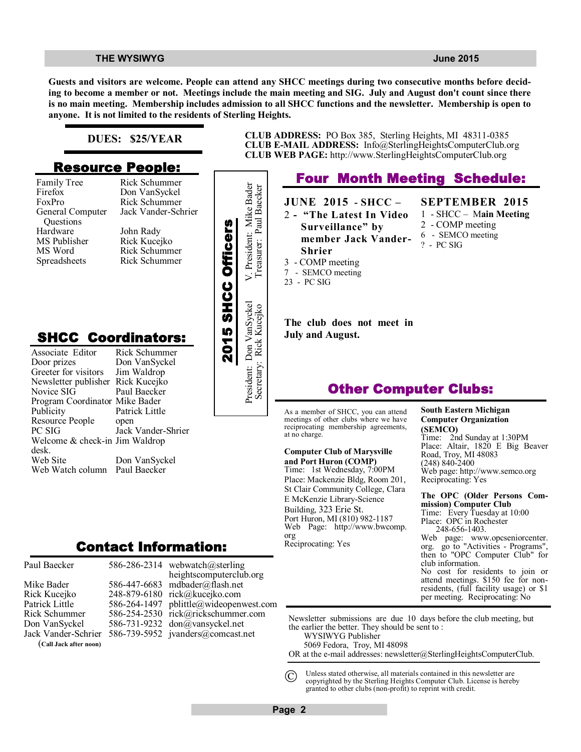**Guests and visitors are welcome. People can attend any SHCC meetings during two consecutive months before deciding to become a member or not. Meetings include the main meeting and SIG. July and August don't count since there is no main meeting. Membership includes admission to all SHCC functions and the newsletter. Membership is open to anyone. It is not limited to the residents of Sterling Heights.**

### **DUES: \$25/YEAR**

### **Resource People:**

Family Tree Firefox FoxPro General Computer Questions Hardware MS Publisher MS Word Spreadsheets

Rick Schummer

## **SHCC Coordinators:**

| гашну тес<br>Firefox<br>FoxPro<br>General Computer<br>Questions<br>Hardware<br>MS Publisher<br>MS Word<br>Spreadsheets                                       | <b>INIUN OUTBELLING</b><br>Don VanSyckel<br>Rick Schummer<br>Jack Vander-Schrier<br>John Rady<br>Rick Kucejko<br>Rick Schummer<br>Rick Schummer |                    | President: Mike Bader    |
|--------------------------------------------------------------------------------------------------------------------------------------------------------------|-------------------------------------------------------------------------------------------------------------------------------------------------|--------------------|--------------------------|
| <b>SHCC Coordinators:</b><br>Associate Editor<br>Door prizes<br>Greeter for visitors<br>Newsletter publisher<br>Novice SIG<br>Program Coordinator Mike Bader | Rick Schummer<br>Don VanSyckel<br>Jim Waldrop<br>Rick Kucejko<br>Paul Baecker                                                                   | 2015 SHCC Officers | President: Don VanSyckel |
| Publicity<br>Resource People<br>PC SIG<br>Welcome & check-in Jim Waldrop<br>desk.<br>Web Site<br>Web Watch column                                            | Patrick Little<br>open<br>Jack Vander-Shrier<br>Don VanSyckel<br>Paul Baecker                                                                   |                    |                          |
|                                                                                                                                                              | Contact Information:                                                                                                                            |                    |                          |

Mike Bader Rick Kucejko Patrick Little Rick Schummer Don VanSyckel Jack Vander-Schrier

Paul Baecker

(**Call Jack after noon)**

586-286-2314 webwatch@sterling 586-447-6683 mdbader@flash.net 248-879-6180 rick@kucejko.com 586-264-1497 pblittle@wideopenwest.com 586-254-2530 rick@rickschummer.com 586-731-9232 don@vansyckel.net 586-739-5952 jvanders@comcast.net heightscomputerclub.org

**CLUB ADDRESS:** PO Box 385, Sterling Heights, MI 48311-0385 **CLUB E-MAIL ADDRESS:** Info@SterlingHeightsComputerClub.org **CLUB WEB PAGE:** http://www.SterlingHeightsComputerClub.org

## **Four Month Meeting Schedule:**

**JUNE 2015 - SHCC –**  2 **- "The Latest In Video Surveillance" by member Jack Vander-Shrier** 3 - COMP meeting

7 - SEMCO meeting 23 - PC SIG

Secretary: Rick Kucejko Treasurer: Paul Baecker

- **SEPTEMBER 2015** 1 - SHCC – M**ain Meeting** 2 - COMP meeting
	- 6 SEMCO meeting ? - PC SIG

**The club does not meet in July and August.**

## **Other Computer Clubs:**

As a member of SHCC, you can attend meetings of other clubs where we have reciprocating membership agreements, at no charge.

#### **Computer Club of Marysville and Port Huron (COMP)**

Time: 1st Wednesday, 7:00PM Place: Mackenzie Bldg, Room 201, St Clair Community College, Clara E McKenzie Library-Science Building, 323 Erie St. Port Huron, MI (810) 982-1187 Web Page: http://www.bwcomp. org Reciprocating: Yes

#### **South Eastern Michigan Computer Organization (SEMCO)**

Time: 2nd Sunday at 1:30PM Place: Altair, 1820 E Big Beaver Road, Troy, MI 48083 (248) 840-2400 Web page: http://www.semco.org Reciprocating: Yes

#### **The OPC (Older Persons Commission) Computer Club**  Time: Every Tuesday at 10:00 Place: OPC in Rochester 248-656-1403. Web page: www.opcseniorcenter.

org. go to "Activities - Programs", then to "OPC Computer Club" for club information. No cost for residents to join or attend meetings. \$150 fee for nonresidents, (full facility usage) or \$1 per meeting. Reciprocating: No

Newsletter submissions are due 10 days before the club meeting, but the earlier the better. They should be sent to : WYSIWYG Publisher

5069 Fedora, Troy, MI 48098

OR at the e-mail addresses: newsletter@SterlingHeightsComputerClub.

Unless stated otherwise, all materials contained in this newsletter are copyrighted by the Sterling Heights Computer Club. License is hereby granted to other clubs (non-profit) to reprint with credit.  $\odot$ 

**Page 2**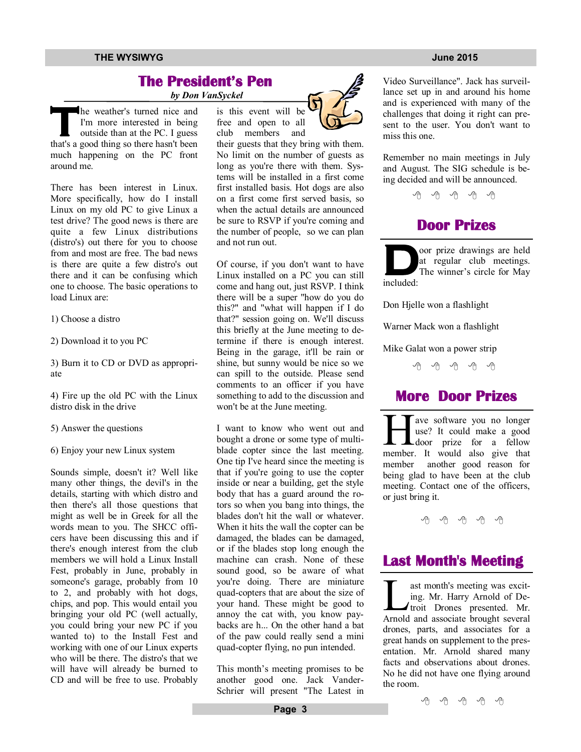## **The President's Pen**

 *by Don VanSyckel*

**T** he weather's turned nice and I'm more interested in being outside than at the PC. I guess that's a good thing so there hasn't been much happening on the PC front around me.

There has been interest in Linux. More specifically, how do I install Linux on my old PC to give Linux a test drive? The good news is there are quite a few Linux distributions (distro's) out there for you to choose from and most are free. The bad news is there are quite a few distro's out there and it can be confusing which one to choose. The basic operations to load Linux are:

- 1) Choose a distro
- 2) Download it to you PC

3) Burn it to CD or DVD as appropriate

4) Fire up the old PC with the Linux distro disk in the drive

5) Answer the questions

6) Enjoy your new Linux system

Sounds simple, doesn't it? Well like many other things, the devil's in the details, starting with which distro and then there's all those questions that might as well be in Greek for all the words mean to you. The SHCC officers have been discussing this and if there's enough interest from the club members we will hold a Linux Install Fest, probably in June, probably in someone's garage, probably from 10 to 2, and probably with hot dogs, chips, and pop. This would entail you bringing your old PC (well actually, you could bring your new PC if you wanted to) to the Install Fest and working with one of our Linux experts who will be there. The distro's that we will have will already be burned to CD and will be free to use. Probably is this event will be free and open to all club members and

their guests that they bring with them. No limit on the number of guests as long as you're there with them. Systems will be installed in a first come first installed basis. Hot dogs are also

on a first come first served basis, so when the actual details are announced be sure to RSVP if you're coming and the number of people, so we can plan and not run out.

Of course, if you don't want to have Linux installed on a PC you can still come and hang out, just RSVP. I think there will be a super "how do you do this?" and "what will happen if I do that?" session going on. We'll discuss this briefly at the June meeting to determine if there is enough interest. Being in the garage, it'll be rain or shine, but sunny would be nice so we can spill to the outside. Please send comments to an officer if you have something to add to the discussion and won't be at the June meeting.

I want to know who went out and bought a drone or some type of multiblade copter since the last meeting. One tip I've heard since the meeting is that if you're going to use the copter inside or near a building, get the style body that has a guard around the rotors so when you bang into things, the blades don't hit the wall or whatever. When it hits the wall the copter can be damaged, the blades can be damaged, or if the blades stop long enough the machine can crash. None of these sound good, so be aware of what you're doing. There are miniature quad-copters that are about the size of your hand. These might be good to annoy the cat with, you know paybacks are h... On the other hand a bat of the paw could really send a mini quad-copter flying, no pun intended.

This month's meeting promises to be another good one. Jack Vander-Schrier will present "The Latest in

Video Surveillance". Jack has surveillance set up in and around his home and is experienced with many of the challenges that doing it right can present to the user. You don't want to miss this one.

Remember no main meetings in July and August. The SIG schedule is being decided and will be announced.

有 有 有 有

## **Door Prizes**

**D** oor prize drawings are held at regular club meetings. The winner's circle for May included:

Don Hjelle won a flashlight

Warner Mack won a flashlight

Mike Galat won a power strip

一个 一个

## **More Door Prizes**

**H** ave software you no longer<br>use? It could make a good<br>door prize for a fellow<br>member. It would also give that ave software you no longer use? It could make a good door prize for a fellow member another good reason for being glad to have been at the club meeting. Contact one of the officers, or just bring it.

中平平中中

## **Last Month's Meeting**

ast month's meeting was exciting. Mr. Harry Arnold of Detroit Drones presented. Mr.<br>Arnold and associate brought several ast month's meeting was exciting. Mr. Harry Arnold of Detroit Drones presented. Mr. drones, parts, and associates for a great hands on supplement to the presentation. Mr. Arnold shared many facts and observations about drones. No he did not have one flying around the room.

丹 丹 丹 丹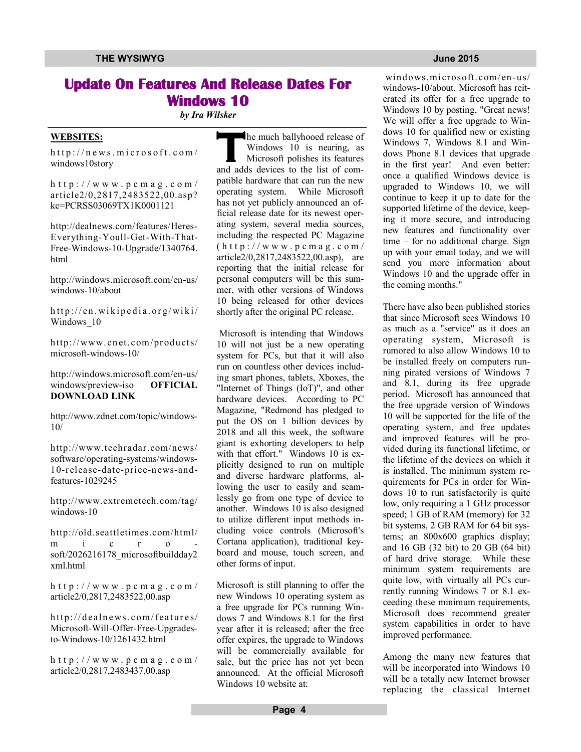## **Update On Features And Release Dates For Windows 10**

*by Ira Wilsker*

### **WEBSITES:**

http://news.microsoft.com/ windows10story

 $h$  t t p : //www.pcmag.com/ article2/0,2817,2483522,00.asp? kc=PCRSS03069TX1K0001121

http://dealnews.com/features/Heres-Everything-Youll-Get-With-That-Free-Windows-10-Upgrade/1340764. html

http://windows.microsoft.com/en-us/ windows-10/about

http://en.wikipedia.org/wiki/ Windows 10

http://www.cnet.com/products/ microsoft-windows-10/

http://windows.microsoft.com/en-us/ windows/preview-iso **OFFICIAL DOWNLOAD LINK**

http://www.zdnet.com/topic/windows-10/

http://www.techradar.com/news/ software/operating-systems/windows-10-release-date-price-news-andfeatures-1029245

http://www.extremetech.com/tag/ windows-10

http://old.seattletimes.com/html/ m i c r o soft/2026216178\_microsoftbuildday2 xml.html

 $h$  t t p : //www.pcmag.com/ article2/0,2817,2483522,00.asp

http://dealnews.com/features/ Microsoft-Will-Offer-Free-Upgradesto-Windows-10/1261432.html

 $h$  t t p : //www.pcmag.com/ article2/0,2817,2483437,00.asp

**T** he much ballyhooed release of Windows 10 is nearing, as Microsoft polishes its features and adds devices to the list of compatible hardware that can run the new operating system. While Microsoft has not yet publicly announced an official release date for its newest operating system, several media sources, including the respected PC Magazine  $(h \t{t \phi}$ ://www.pcmag.com/ article2/0,2817,2483522,00.asp), are reporting that the initial release for personal computers will be this summer, with other versions of Windows 10 being released for other devices shortly after the original PC release.

 Microsoft is intending that Windows 10 will not just be a new operating system for PCs, but that it will also run on countless other devices including smart phones, tablets, Xboxes, the "Internet of Things (IoT)", and other hardware devices. According to PC Magazine, "Redmond has pledged to put the OS on 1 billion devices by 2018 and all this week, the software giant is exhorting developers to help with that effort." Windows 10 is explicitly designed to run on multiple and diverse hardware platforms, allowing the user to easily and seamlessly go from one type of device to another. Windows 10 is also designed to utilize different input methods including voice controls (Microsoft's Cortana application), traditional keyboard and mouse, touch screen, and other forms of input.

Microsoft is still planning to offer the new Windows 10 operating system as a free upgrade for PCs running Windows 7 and Windows 8.1 for the first year after it is released; after the free offer expires, the upgrade to Windows will be commercially available for sale, but the price has not yet been announced. At the official Microsoft Windows 10 website at:

windows.microsoft.com/en-us/ windows-10/about, Microsoft has reiterated its offer for a free upgrade to Windows 10 by posting, "Great news! We will offer a free upgrade to Windows 10 for qualified new or existing Windows 7, Windows 8.1 and Windows Phone 8.1 devices that upgrade in the first year! And even better: once a qualified Windows device is upgraded to Windows 10, we will continue to keep it up to date for the supported lifetime of the device, keeping it more secure, and introducing new features and functionality over time – for no additional charge. Sign up with your email today, and we will send you more information about Windows 10 and the upgrade offer in the coming months."

There have also been published stories that since Microsoft sees Windows 10 as much as a "service" as it does an operating system, Microsoft is rumored to also allow Windows 10 to be installed freely on computers running pirated versions of Windows 7 and 8.1, during its free upgrade period. Microsoft has announced that the free upgrade version of Windows 10 will be supported for the life of the operating system, and free updates and improved features will be provided during its functional lifetime, or the lifetime of the devices on which it is installed. The minimum system requirements for PCs in order for Windows 10 to run satisfactorily is quite low, only requiring a 1 GHz processor speed; 1 GB of RAM (memory) for 32 bit systems, 2 GB RAM for 64 bit systems; an 800x600 graphics display; and 16 GB (32 bit) to 20 GB (64 bit) of hard drive storage. While these minimum system requirements are quite low, with virtually all PCs currently running Windows 7 or 8.1 exceeding these minimum requirements, Microsoft does recommend greater system capabilities in order to have improved performance.

Among the many new features that will be incorporated into Windows 10 will be a totally new Internet browser replacing the classical Internet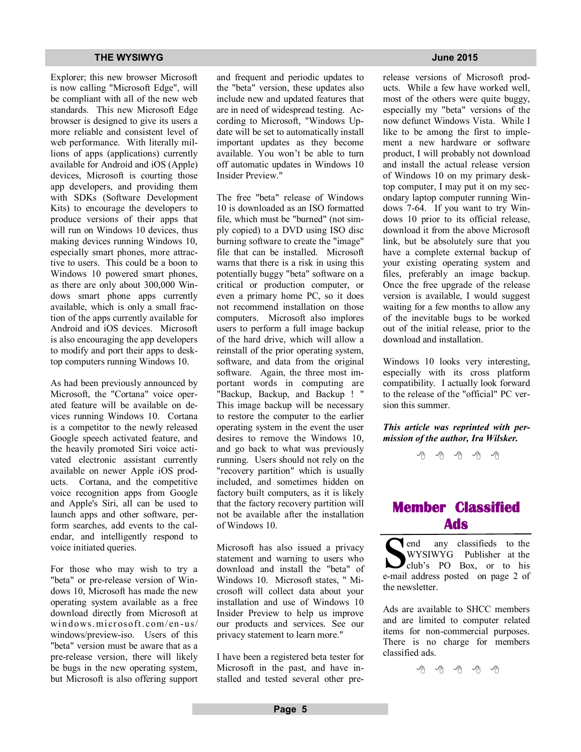Explorer; this new browser Microsoft is now calling "Microsoft Edge", will be compliant with all of the new web standards. This new Microsoft Edge browser is designed to give its users a more reliable and consistent level of web performance. With literally millions of apps (applications) currently available for Android and iOS (Apple) devices, Microsoft is courting those app developers, and providing them with SDKs (Software Development Kits) to encourage the developers to produce versions of their apps that will run on Windows 10 devices, thus making devices running Windows 10, especially smart phones, more attractive to users. This could be a boon to Windows 10 powered smart phones, as there are only about 300,000 Windows smart phone apps currently available, which is only a small fraction of the apps currently available for Android and iOS devices. Microsoft is also encouraging the app developers to modify and port their apps to desktop computers running Windows 10.

As had been previously announced by Microsoft, the "Cortana" voice operated feature will be available on devices running Windows 10. Cortana is a competitor to the newly released Google speech activated feature, and the heavily promoted Siri voice activated electronic assistant currently available on newer Apple iOS products. Cortana, and the competitive voice recognition apps from Google and Apple's Siri, all can be used to launch apps and other software, perform searches, add events to the calendar, and intelligently respond to voice initiated queries.

For those who may wish to try a "beta" or pre-release version of Windows 10, Microsoft has made the new operating system available as a free download directly from Microsoft at windows.microsoft.com/en-us/ windows/preview-iso. Users of this "beta" version must be aware that as a pre-release version, there will likely be bugs in the new operating system, but Microsoft is also offering support and frequent and periodic updates to the "beta" version, these updates also include new and updated features that are in need of widespread testing. According to Microsoft, "Windows Update will be set to automatically install important updates as they become available. You won't be able to turn off automatic updates in Windows 10 Insider Preview."

The free "beta" release of Windows 10 is downloaded as an ISO formatted file, which must be "burned" (not simply copied) to a DVD using ISO disc burning software to create the "image" file that can be installed. Microsoft warns that there is a risk in using this potentially buggy "beta" software on a critical or production computer, or even a primary home PC, so it does not recommend installation on those computers. Microsoft also implores users to perform a full image backup of the hard drive, which will allow a reinstall of the prior operating system, software, and data from the original software. Again, the three most important words in computing are "Backup, Backup, and Backup ! " This image backup will be necessary to restore the computer to the earlier operating system in the event the user desires to remove the Windows 10, and go back to what was previously running. Users should not rely on the "recovery partition" which is usually included, and sometimes hidden on factory built computers, as it is likely that the factory recovery partition will not be available after the installation of Windows 10.

Microsoft has also issued a privacy statement and warning to users who download and install the "beta" of Windows 10. Microsoft states, " Microsoft will collect data about your installation and use of Windows 10 Insider Preview to help us improve our products and services. See our privacy statement to learn more."

I have been a registered beta tester for Microsoft in the past, and have installed and tested several other pre-

release versions of Microsoft products. While a few have worked well, most of the others were quite buggy, especially my "beta" versions of the now defunct Windows Vista. While I like to be among the first to implement a new hardware or software product, I will probably not download and install the actual release version of Windows 10 on my primary desktop computer, I may put it on my secondary laptop computer running Windows 7-64. If you want to try Windows 10 prior to its official release, download it from the above Microsoft link, but be absolutely sure that you have a complete external backup of your existing operating system and files, preferably an image backup. Once the free upgrade of the release version is available, I would suggest waiting for a few months to allow any of the inevitable bugs to be worked out of the initial release, prior to the download and installation.

Windows 10 looks very interesting, especially with its cross platform compatibility. I actually look forward to the release of the "official" PC version this summer.

*This article was reprinted with permission of the author, Ira Wilsker.*

用 用 用 用 用

## **Member Classified Ads**

**Ads**<br> **S** end any classifieds to the<br>
WYSIWYG Publisher at the<br>
club's PO Box, or to his<br>
e-mail address posted on page 2 of any classifieds to the WYSIWYG Publisher at the club's PO Box, or to his the newsletter.

Ads are available to SHCC members and are limited to computer related items for non-commercial purposes. There is no charge for members classified ads.

 $\begin{picture}(60,6) \put(0,0){\vector(0,0){100}} \put(15,0){\vector(0,1){100}} \put(15,0){\vector(0,1){100}} \put(15,0){\vector(0,1){100}} \put(15,0){\vector(0,1){100}} \put(15,0){\vector(0,1){100}} \put(15,0){\vector(0,1){100}} \put(15,0){\vector(0,1){100}} \put(15,0){\vector(0,1){100}} \put(15,0){\vector(0,1){100}} \put(15,0){\vector(0,1){100}} \put$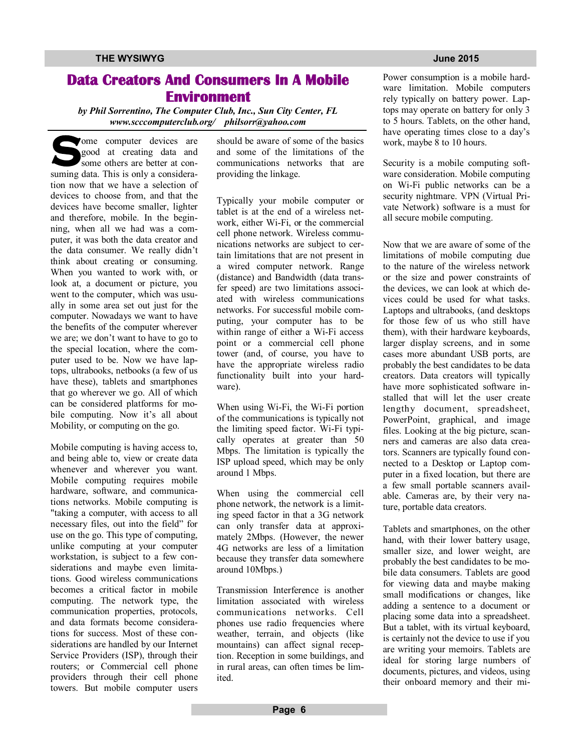## **Data Creators And Consumers In A Mobile Environment**

*by Phil Sorrentino, The Computer Club, Inc., Sun City Center, FL www.scccomputerclub.org/ philsorr@yahoo.com*

**S** ome computer devices are good at creating data and some others are better at consuming data. This is only a consideration now that we have a selection of devices to choose from, and that the devices have become smaller, lighter and therefore, mobile. In the beginning, when all we had was a computer, it was both the data creator and the data consumer. We really didn't think about creating or consuming. When you wanted to work with, or look at, a document or picture, you went to the computer, which was usually in some area set out just for the computer. Nowadays we want to have the benefits of the computer wherever we are; we don't want to have to go to the special location, where the computer used to be. Now we have laptops, ultrabooks, netbooks (a few of us have these), tablets and smartphones that go wherever we go. All of which can be considered platforms for mobile computing. Now it's all about Mobility, or computing on the go.

Mobile computing is having access to, and being able to, view or create data whenever and wherever you want. Mobile computing requires mobile hardware, software, and communications networks. Mobile computing is "taking a computer, with access to all necessary files, out into the field" for use on the go. This type of computing, unlike computing at your computer workstation, is subject to a few considerations and maybe even limitations. Good wireless communications becomes a critical factor in mobile computing. The network type, the communication properties, protocols, and data formats become considerations for success. Most of these considerations are handled by our Internet Service Providers (ISP), through their routers; or Commercial cell phone providers through their cell phone towers. But mobile computer users should be aware of some of the basics and some of the limitations of the communications networks that are providing the linkage.

Typically your mobile computer or tablet is at the end of a wireless network, either Wi-Fi, or the commercial cell phone network. Wireless communications networks are subject to certain limitations that are not present in a wired computer network. Range (distance) and Bandwidth (data transfer speed) are two limitations associated with wireless communications networks. For successful mobile computing, your computer has to be within range of either a Wi-Fi access point or a commercial cell phone tower (and, of course, you have to have the appropriate wireless radio functionality built into your hardware).

When using Wi-Fi, the Wi-Fi portion of the communications is typically not the limiting speed factor. Wi-Fi typically operates at greater than 50 Mbps. The limitation is typically the ISP upload speed, which may be only around 1 Mbps.

When using the commercial cell phone network, the network is a limiting speed factor in that a 3G network can only transfer data at approximately 2Mbps. (However, the newer 4G networks are less of a limitation because they transfer data somewhere around 10Mbps.)

Transmission Interference is another limitation associated with wireless communications networks. Cell phones use radio frequencies where weather, terrain, and objects (like mountains) can affect signal reception. Reception in some buildings, and in rural areas, can often times be limited.

Power consumption is a mobile hardware limitation. Mobile computers rely typically on battery power. Laptops may operate on battery for only 3 to 5 hours. Tablets, on the other hand, have operating times close to a day's work, maybe 8 to 10 hours.

Security is a mobile computing software consideration. Mobile computing on Wi-Fi public networks can be a security nightmare. VPN (Virtual Private Network) software is a must for all secure mobile computing.

Now that we are aware of some of the limitations of mobile computing due to the nature of the wireless network or the size and power constraints of the devices, we can look at which devices could be used for what tasks. Laptops and ultrabooks, (and desktops for those few of us who still have them), with their hardware keyboards, larger display screens, and in some cases more abundant USB ports, are probably the best candidates to be data creators. Data creators will typically have more sophisticated software installed that will let the user create lengthy document, spreadsheet, PowerPoint, graphical, and image files. Looking at the big picture, scanners and cameras are also data creators. Scanners are typically found connected to a Desktop or Laptop computer in a fixed location, but there are a few small portable scanners available. Cameras are, by their very nature, portable data creators.

Tablets and smartphones, on the other hand, with their lower battery usage, smaller size, and lower weight, are probably the best candidates to be mobile data consumers. Tablets are good for viewing data and maybe making small modifications or changes, like adding a sentence to a document or placing some data into a spreadsheet. But a tablet, with its virtual keyboard, is certainly not the device to use if you are writing your memoirs. Tablets are ideal for storing large numbers of documents, pictures, and videos, using their onboard memory and their mi-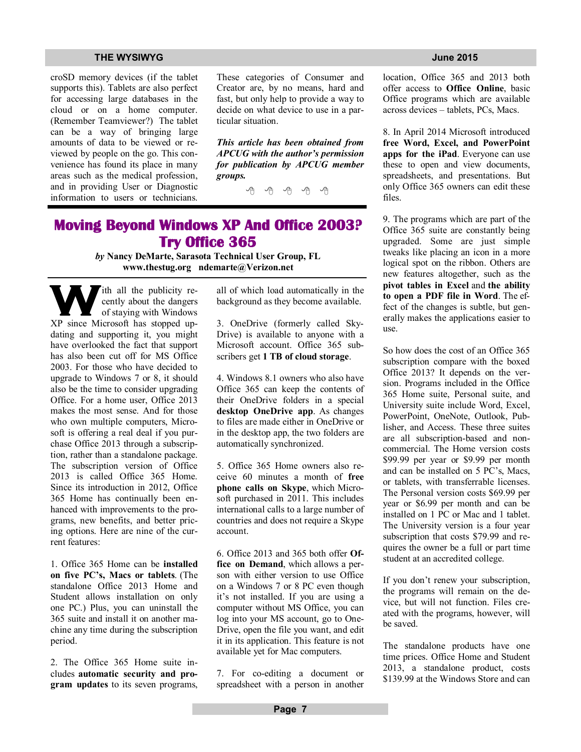croSD memory devices (if the tablet supports this). Tablets are also perfect for accessing large databases in the cloud or on a home computer. (Remember Teamviewer?) The tablet can be a way of bringing large amounts of data to be viewed or reviewed by people on the go. This convenience has found its place in many areas such as the medical profession, and in providing User or Diagnostic and in providing OSET of Diagnostic  $\theta$   $\theta$   $\theta$   $\theta$   $\theta$   $\theta$ 

These categories of Consumer and Creator are, by no means, hard and fast, but only help to provide a way to decide on what device to use in a particular situation.

*This article has been obtained from APCUG with the author's permission for publication by APCUG member groups.*

## **Moving Beyond Windows XP And Office 2003? Try Office 365**

*by* **Nancy DeMarte, Sarasota Technical User Group, FL www.thestug.org ndemarte@Verizon.net**

**W**ith all the publicity recently about the dangers<br>of staying with Windows cently about the dangers XP since Microsoft has stopped updating and supporting it, you might have overlooked the fact that support has also been cut off for MS Office 2003. For those who have decided to upgrade to Windows 7 or 8, it should also be the time to consider upgrading Office. For a home user, Office 2013 makes the most sense. And for those who own multiple computers, Microsoft is offering a real deal if you purchase Office 2013 through a subscription, rather than a standalone package. The subscription version of Office 2013 is called Office 365 Home. Since its introduction in 2012, Office 365 Home has continually been enhanced with improvements to the programs, new benefits, and better pricing options. Here are nine of the current features:

1. Office 365 Home can be **installed on five PC's, Macs or tablets**. (The standalone Office 2013 Home and Student allows installation on only one PC.) Plus, you can uninstall the 365 suite and install it on another machine any time during the subscription period.

2. The Office 365 Home suite includes **automatic security and program updates** to its seven programs, all of which load automatically in the background as they become available.

3. OneDrive (formerly called Sky-Drive) is available to anyone with a Microsoft account. Office 365 subscribers get **1 TB of cloud storage**.

4. Windows 8.1 owners who also have Office 365 can keep the contents of their OneDrive folders in a special **desktop OneDrive app**. As changes to files are made either in OneDrive or in the desktop app, the two folders are automatically synchronized.

5. Office 365 Home owners also receive 60 minutes a month of **free phone calls on Skype**, which Microsoft purchased in 2011. This includes international calls to a large number of countries and does not require a Skype account.

6. Office 2013 and 365 both offer **Office on Demand**, which allows a person with either version to use Office on a Windows 7 or 8 PC even though it's not installed. If you are using a computer without MS Office, you can log into your MS account, go to One-Drive, open the file you want, and edit it in its application. This feature is not available yet for Mac computers.

7. For co-editing a document or spreadsheet with a person in another location, Office 365 and 2013 both offer access to **Office Online**, basic Office programs which are available

8. In April 2014 Microsoft introduced **free Word, Excel, and PowerPoint apps for the iPad**. Everyone can use these to open and view documents, spreadsheets, and presentations. But only Office 365 owners can edit these files.

9. The programs which are part of the Office 365 suite are constantly being upgraded. Some are just simple tweaks like placing an icon in a more logical spot on the ribbon. Others are new features altogether, such as the **pivot tables in Excel** and **the ability to open a PDF file in Word**. The effect of the changes is subtle, but generally makes the applications easier to use.

So how does the cost of an Office 365 subscription compare with the boxed Office 2013? It depends on the version. Programs included in the Office 365 Home suite, Personal suite, and University suite include Word, Excel, PowerPoint, OneNote, Outlook, Publisher, and Access. These three suites are all subscription-based and noncommercial. The Home version costs \$99.99 per year or \$9.99 per month and can be installed on 5 PC's, Macs, or tablets, with transferrable licenses. The Personal version costs \$69.99 per year or \$6.99 per month and can be installed on 1 PC or Mac and 1 tablet. The University version is a four year subscription that costs \$79.99 and requires the owner be a full or part time student at an accredited college.

If you don't renew your subscription, the programs will remain on the device, but will not function. Files created with the programs, however, will be saved.

The standalone products have one time prices. Office Home and Student 2013, a standalone product, costs \$139.99 at the Windows Store and can

across devices – tablets, PCs, Macs.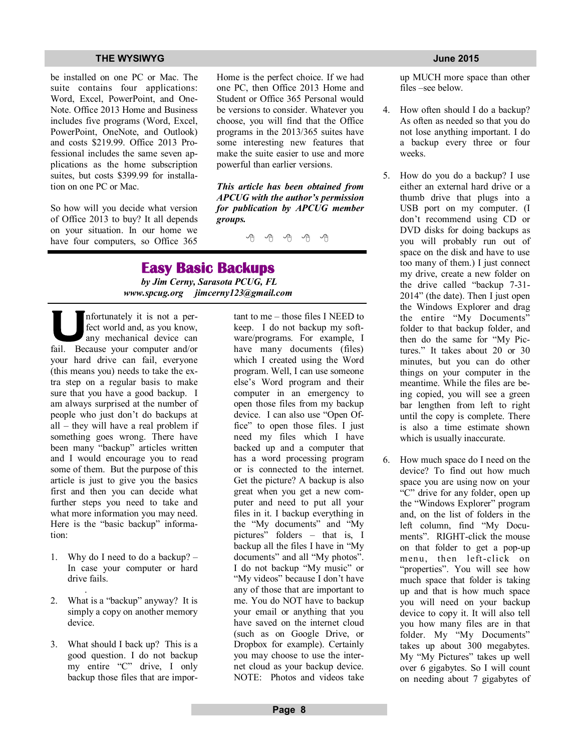be installed on one PC or Mac. The suite contains four applications: Word, Excel, PowerPoint, and One-Note. Office 2013 Home and Business includes five programs (Word, Excel, PowerPoint, OneNote, and Outlook) and costs \$219.99. Office 2013 Professional includes the same seven applications as the home subscription suites, but costs \$399.99 for installation on one PC or Mac.

So how will you decide what version of Office 2013 to buy? It all depends on your situation. In our home we have four computers, so Office 365

Home is the perfect choice. If we had one PC, then Office 2013 Home and Student or Office 365 Personal would be versions to consider. Whatever you choose, you will find that the Office programs in the 2013/365 suites have some interesting new features that make the suite easier to use and more powerful than earlier versions.

*This article has been obtained from APCUG with the author's permission for publication by APCUG member groups.*

一个 一个 一个

### **Easy Basic Backups**  *by Jim Cerny, Sarasota PCUG, FL www.spcug.org jimcerny123@gmail.com*

**U** nfortunately it is not a perfect world and, as you know, any mechanical device can fail. Because your computer and/or your hard drive can fail, everyone (this means you) needs to take the extra step on a regular basis to make sure that you have a good backup. I am always surprised at the number of people who just don't do backups at all – they will have a real problem if something goes wrong. There have been many "backup" articles written and I would encourage you to read some of them. But the purpose of this article is just to give you the basics first and then you can decide what further steps you need to take and what more information you may need. Here is the "basic backup" information:

- 1. Why do I need to do a backup? In case your computer or hard drive fails.
- . 2. What is a "backup" anyway? It is simply a copy on another memory device.
- 3. What should I back up? This is a good question. I do not backup my entire "C" drive, I only backup those files that are impor-

tant to me – those files I NEED to keep. I do not backup my software/programs. For example, I have many documents (files) which I created using the Word program. Well, I can use someone else's Word program and their computer in an emergency to open those files from my backup device. I can also use "Open Office" to open those files. I just need my files which I have backed up and a computer that has a word processing program or is connected to the internet. Get the picture? A backup is also great when you get a new computer and need to put all your files in it. I backup everything in the "My documents" and "My pictures" folders – that is, I backup all the files I have in "My documents" and all "My photos". I do not backup "My music" or "My videos" because I don't have any of those that are important to me. You do NOT have to backup your email or anything that you have saved on the internet cloud (such as on Google Drive, or Dropbox for example). Certainly you may choose to use the internet cloud as your backup device. NOTE: Photos and videos take

up MUCH more space than other files –see below.

- 4. How often should I do a backup? As often as needed so that you do not lose anything important. I do a backup every three or four weeks.
- 5. How do you do a backup? I use either an external hard drive or a thumb drive that plugs into a USB port on my computer. (I don't recommend using CD or DVD disks for doing backups as you will probably run out of space on the disk and have to use too many of them.) I just connect my drive, create a new folder on the drive called "backup 7-31- 2014" (the date). Then I just open the Windows Explorer and drag the entire "My Documents" folder to that backup folder, and then do the same for "My Pictures." It takes about 20 or 30 minutes, but you can do other things on your computer in the meantime. While the files are being copied, you will see a green bar lengthen from left to right until the copy is complete. There is also a time estimate shown which is usually inaccurate.
- 6. How much space do I need on the device? To find out how much space you are using now on your "C" drive for any folder, open up the "Windows Explorer" program and, on the list of folders in the left column, find "My Documents". RIGHT-click the mouse on that folder to get a pop-up menu, then left-click on "properties". You will see how much space that folder is taking up and that is how much space you will need on your backup device to copy it. It will also tell you how many files are in that folder. My "My Documents" takes up about 300 megabytes. My "My Pictures" takes up well over 6 gigabytes. So I will count on needing about 7 gigabytes of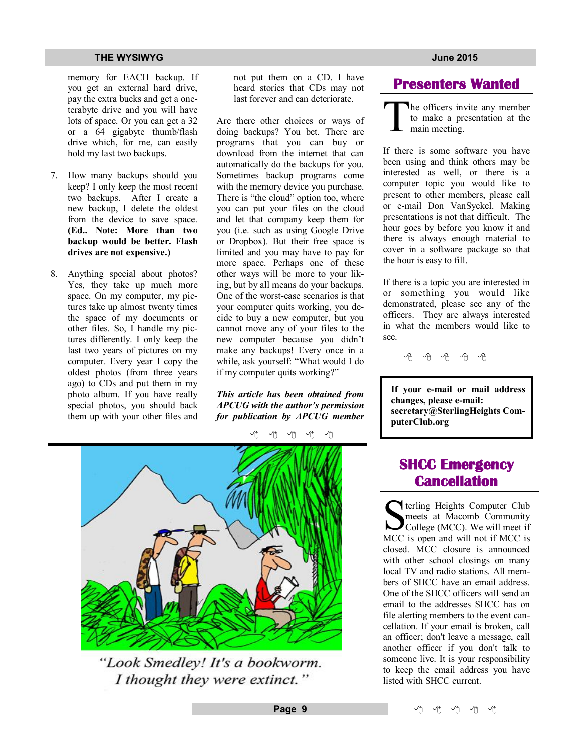memory for EACH backup. If you get an external hard drive, pay the extra bucks and get a oneterabyte drive and you will have lots of space. Or you can get a 32 or a 64 gigabyte thumb/flash drive which, for me, can easily hold my last two backups.

- 7. How many backups should you keep? I only keep the most recent two backups. After I create a new backup, I delete the oldest from the device to save space. **(Ed.. Note: More than two backup would be better. Flash drives are not expensive.)**
- 8. Anything special about photos? Yes, they take up much more space. On my computer, my pictures take up almost twenty times the space of my documents or other files. So, I handle my pictures differently. I only keep the last two years of pictures on my computer. Every year I copy the oldest photos (from three years ago) to CDs and put them in my photo album. If you have really special photos, you should back them up with your other files and

not put them on a CD. I have heard stories that CDs may not last forever and can deteriorate.

Are there other choices or ways of doing backups? You bet. There are programs that you can buy or download from the internet that can automatically do the backups for you. Sometimes backup programs come with the memory device you purchase. There is "the cloud" option too, where you can put your files on the cloud and let that company keep them for you (i.e. such as using Google Drive or Dropbox). But their free space is limited and you may have to pay for more space. Perhaps one of these other ways will be more to your liking, but by all means do your backups. One of the worst-case scenarios is that your computer quits working, you decide to buy a new computer, but you cannot move any of your files to the new computer because you didn't make any backups! Every once in a while, ask yourself: "What would I do if my computer quits working?"

*This article has been obtained from APCUG with the author's permission for publication by APCUG member* 



"Look Smedley! It's a bookworm. I thought they were extinct."

## **Presenters Wanted**

T he officers invite any member to make a presentation at the main meeting.

If there is some software you have been using and think others may be interested as well, or there is a computer topic you would like to present to other members, please call or e-mail Don VanSyckel. Making presentations is not that difficult. The hour goes by before you know it and there is always enough material to cover in a software package so that the hour is easy to fill.

If there is a topic you are interested in or something you would like demonstrated, please see any of the officers. They are always interested in what the members would like to see.

A A A A A

**If your e-mail or mail address changes, please e-mail: secretary@SterlingHeights ComputerClub.org**

## **SHCC Emergency Cancellation**

Serveling Heights Computer Club<br>
meets at Macomb Community<br>
College (MCC). We will meet if<br>
MCC is open and will not if MCC is terling Heights Computer Club meets at Macomb Community  $\sum$  College (MCC). We will meet if closed. MCC closure is announced with other school closings on many local TV and radio stations. All members of SHCC have an email address. One of the SHCC officers will send an email to the addresses SHCC has on file alerting members to the event cancellation. If your email is broken, call an officer; don't leave a message, call another officer if you don't talk to someone live. It is your responsibility to keep the email address you have listed with SHCC current.